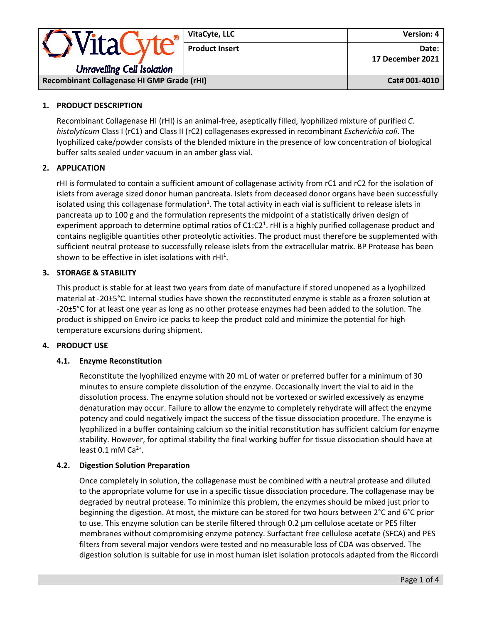|                                                        | VitaCyte, LLC         | <b>Version: 4</b>         |
|--------------------------------------------------------|-----------------------|---------------------------|
| <b>OVitaCyte®</b><br><b>Unravelling Cell Isolation</b> | <b>Product Insert</b> | Date:<br>17 December 2021 |
| Recombinant Collagenase HI GMP Grade (rHI)             |                       | Cat# 001-4010             |

# **1. PRODUCT DESCRIPTION**

Recombinant Collagenase HI (rHI) is an animal-free, aseptically filled, lyophilized mixture of purified *C. histolyticum* Class I (rC1) and Class II (rC2) collagenases expressed in recombinant *Escherichia coli*. The lyophilized cake/powder consists of the blended mixture in the presence of low concentration of biological buffer salts sealed under vacuum in an amber glass vial.

## **2. APPLICATION**

rHI is formulated to contain a sufficient amount of collagenase activity from rC1 and rC2 for the isolation of islets from average sized donor human pancreata. Islets from deceased donor organs have been successfully isolated using this collagenase formulation<sup>1</sup>. The total activity in each vial is sufficient to release islets in pancreata up to 100 g and the formulation represents the midpoint of a statistically driven design of experiment approach to determine optimal ratios of  $C1:C2<sup>1</sup>$ . rHI is a highly purified collagenase product and contains negligible quantities other proteolytic activities. The product must therefore be supplemented with sufficient neutral protease to successfully release islets from the extracellular matrix. BP Protease has been shown to be effective in islet isolations with  $rH1<sup>1</sup>$ .

## **3. STORAGE & STABILITY**

This product is stable for at least two years from date of manufacture if stored unopened as a lyophilized material at -20±5°C. Internal studies have shown the reconstituted enzyme is stable as a frozen solution at -20±5°C for at least one year as long as no other protease enzymes had been added to the solution. The product is shipped on Enviro ice packs to keep the product cold and minimize the potential for high temperature excursions during shipment.

## **4. PRODUCT USE**

## **4.1. Enzyme Reconstitution**

Reconstitute the lyophilized enzyme with 20 mL of water or preferred buffer for a minimum of 30 minutes to ensure complete dissolution of the enzyme. Occasionally invert the vial to aid in the dissolution process. The enzyme solution should not be vortexed or swirled excessively as enzyme denaturation may occur. Failure to allow the enzyme to completely rehydrate will affect the enzyme potency and could negatively impact the success of the tissue dissociation procedure. The enzyme is lyophilized in a buffer containing calcium so the initial reconstitution has sufficient calcium for enzyme stability. However, for optimal stability the final working buffer for tissue dissociation should have at least  $0.1$  mM Ca<sup>2+</sup>.

#### **4.2. Digestion Solution Preparation**

Once completely in solution, the collagenase must be combined with a neutral protease and diluted to the appropriate volume for use in a specific tissue dissociation procedure. The collagenase may be degraded by neutral protease. To minimize this problem, the enzymes should be mixed just prior to beginning the digestion. At most, the mixture can be stored for two hours between 2°C and 6°C prior to use. This enzyme solution can be sterile filtered through 0.2 μm cellulose acetate or PES filter membranes without compromising enzyme potency. Surfactant free cellulose acetate (SFCA) and PES filters from several major vendors were tested and no measurable loss of CDA was observed. The digestion solution is suitable for use in most human islet isolation protocols adapted from the Riccordi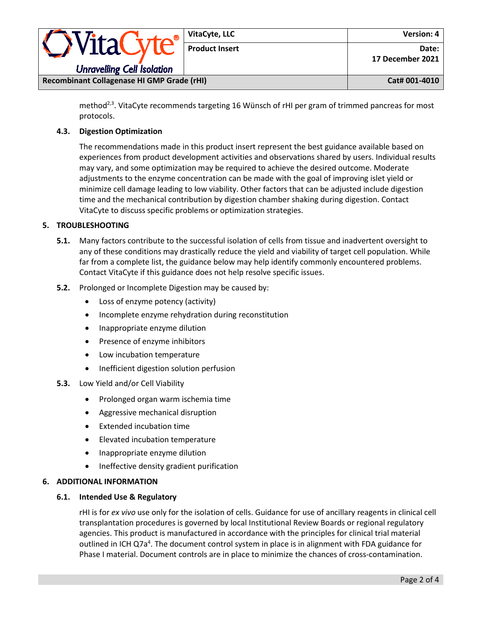| <i><b>OVitaCyte</b></i>                    | VitaCyte, LLC         | <b>Version: 4</b> |
|--------------------------------------------|-----------------------|-------------------|
|                                            | <b>Product Insert</b> | Date:             |
|                                            |                       | 17 December 2021  |
| <b>Unravelling Cell Isolation</b>          |                       |                   |
| Recombinant Collagenase HI GMP Grade (rHI) |                       | Cat# 001-4010     |

method<sup>2,3</sup>. VitaCyte recommends targeting 16 Wünsch of rHI per gram of trimmed pancreas for most protocols.

# **4.3. Digestion Optimization**

The recommendations made in this product insert represent the best guidance available based on experiences from product development activities and observations shared by users. Individual results may vary, and some optimization may be required to achieve the desired outcome. Moderate adjustments to the enzyme concentration can be made with the goal of improving islet yield or minimize cell damage leading to low viability. Other factors that can be adjusted include digestion time and the mechanical contribution by digestion chamber shaking during digestion. Contact VitaCyte to discuss specific problems or optimization strategies.

## **5. TROUBLESHOOTING**

- **5.1.** Many factors contribute to the successful isolation of cells from tissue and inadvertent oversight to any of these conditions may drastically reduce the yield and viability of target cell population. While far from a complete list, the guidance below may help identify commonly encountered problems. Contact VitaCyte if this guidance does not help resolve specific issues.
- **5.2.** Prolonged or Incomplete Digestion may be caused by:
	- Loss of enzyme potency (activity)
	- Incomplete enzyme rehydration during reconstitution
	- Inappropriate enzyme dilution
	- Presence of enzyme inhibitors
	- Low incubation temperature
	- Inefficient digestion solution perfusion
- **5.3.** Low Yield and/or Cell Viability
	- Prolonged organ warm ischemia time
	- Aggressive mechanical disruption
	- Extended incubation time
	- Elevated incubation temperature
	- Inappropriate enzyme dilution
	- Ineffective density gradient purification

## **6. ADDITIONAL INFORMATION**

## **6.1. Intended Use & Regulatory**

rHI is for *ex vivo* use only for the isolation of cells. Guidance for use of ancillary reagents in clinical cell transplantation procedures is governed by local Institutional Review Boards or regional regulatory agencies. This product is manufactured in accordance with the principles for clinical trial material outlined in ICH Q7a<sup>4</sup>. The document control system in place is in alignment with FDA guidance for Phase I material. Document controls are in place to minimize the chances of cross-contamination.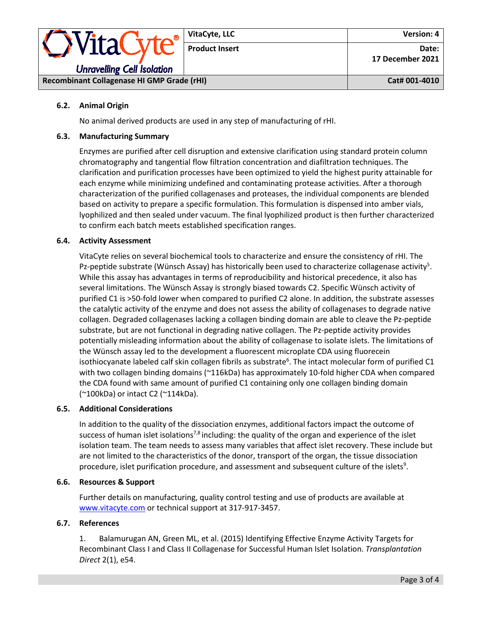

#### **6.2. Animal Origin**

No animal derived products are used in any step of manufacturing of rHI.

#### **6.3. Manufacturing Summary**

Enzymes are purified after cell disruption and extensive clarification using standard protein column chromatography and tangential flow filtration concentration and diafiltration techniques. The clarification and purification processes have been optimized to yield the highest purity attainable for each enzyme while minimizing undefined and contaminating protease activities. After a thorough characterization of the purified collagenases and proteases, the individual components are blended based on activity to prepare a specific formulation. This formulation is dispensed into amber vials, lyophilized and then sealed under vacuum. The final lyophilized product is then further characterized to confirm each batch meets established specification ranges.

#### **6.4. Activity Assessment**

VitaCyte relies on several biochemical tools to characterize and ensure the consistency of rHI. The Pz-peptide substrate (Wünsch Assay) has historically been used to characterize collagenase activity<sup>5</sup>. While this assay has advantages in terms of reproducibility and historical precedence, it also has several limitations. The Wünsch Assay is strongly biased towards C2. Specific Wünsch activity of purified C1 is >50-fold lower when compared to purified C2 alone. In addition, the substrate assesses the catalytic activity of the enzyme and does not assess the ability of collagenases to degrade native collagen. Degraded collagenases lacking a collagen binding domain are able to cleave the Pz-peptide substrate, but are not functional in degrading native collagen. The Pz-peptide activity provides potentially misleading information about the ability of collagenase to isolate islets. The limitations of the Wünsch assay led to the development a fluorescent microplate CDA using fluorecein isothiocyanate labeled calf skin collagen fibrils as substrate<sup>6</sup>. The intact molecular form of purified C1 with two collagen binding domains (~116kDa) has approximately 10-fold higher CDA when compared the CDA found with same amount of purified C1 containing only one collagen binding domain (~100kDa) or intact C2 (~114kDa).

#### **6.5. Additional Considerations**

In addition to the quality of the dissociation enzymes, additional factors impact the outcome of success of human islet isolations<sup>7,8</sup> including: the quality of the organ and experience of the islet isolation team. The team needs to assess many variables that affect islet recovery. These include but are not limited to the characteristics of the donor, transport of the organ, the tissue dissociation procedure, islet purification procedure, and assessment and subsequent culture of the islets<sup>9</sup>.

#### **6.6. Resources & Support**

Further details on manufacturing, quality control testing and use of products are available at [www.vitacyte.com](http://www.vitacyte.com/) or technical support at 317-917-3457.

#### **6.7. References**

1. Balamurugan AN, Green ML, et al. (2015) Identifying Effective Enzyme Activity Targets for Recombinant Class I and Class II Collagenase for Successful Human Islet Isolation. *Transplantation Direct* 2(1), e54.